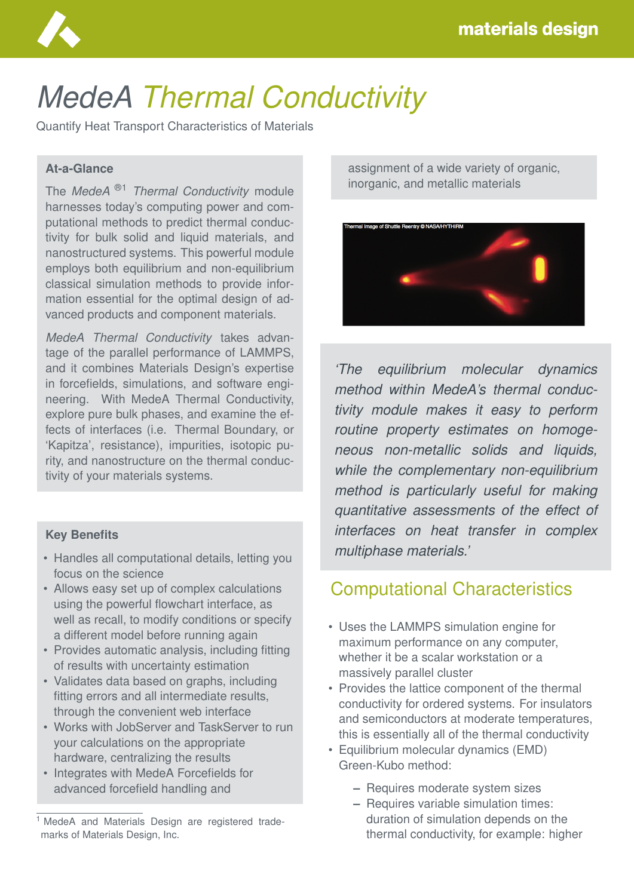

# *MedeA Thermal Conductivity*

Quantify Heat Transport Characteristics of Materials

### **At-a-Glance**

The *MedeA* ®1 *Thermal Conductivity* module harnesses today's computing power and computational methods to predict thermal conductivity for bulk solid and liquid materials, and nanostructured systems. This powerful module employs both equilibrium and non-equilibrium classical simulation methods to provide information essential for the optimal design of advanced products and component materials.

*MedeA Thermal Conductivity* takes advantage of the parallel performance of LAMMPS, and it combines Materials Design's expertise in forcefields, simulations, and software engineering. With MedeA Thermal Conductivity, explore pure bulk phases, and examine the effects of interfaces (i.e. Thermal Boundary, or 'Kapitza', resistance), impurities, isotopic purity, and nanostructure on the thermal conductivity of your materials systems.

#### **Key Benefits**

- Handles all computational details, letting you focus on the science
- Allows easy set up of complex calculations using the powerful flowchart interface, as well as recall, to modify conditions or specify a different model before running again
- Provides automatic analysis, including fitting of results with uncertainty estimation
- Validates data based on graphs, including fitting errors and all intermediate results, through the convenient web interface
- Works with JobServer and TaskServer to run your calculations on the appropriate hardware, centralizing the results
- Integrates with MedeA Forcefields for advanced forcefield handling and

assignment of a wide variety of organic, inorganic, and metallic materials



*'The equilibrium molecular dynamics method within MedeA's thermal conductivity module makes it easy to perform routine property estimates on homogeneous non-metallic solids and liquids, while the complementary non-equilibrium method is particularly useful for making quantitative assessments of the effect of interfaces on heat transfer in complex multiphase materials.'*

## Computational Characteristics

- Uses the LAMMPS simulation engine for maximum performance on any computer, whether it be a scalar workstation or a massively parallel cluster
- Provides the lattice component of the thermal conductivity for ordered systems. For insulators and semiconductors at moderate temperatures, this is essentially all of the thermal conductivity
- Equilibrium molecular dynamics (EMD) Green-Kubo method:
	- **–** Requires moderate system sizes
	- **–** Requires variable simulation times: duration of simulation depends on the thermal conductivity, for example: higher

<sup>&</sup>lt;sup>1</sup> MedeA and Materials Design are registered trademarks of Materials Design, Inc.